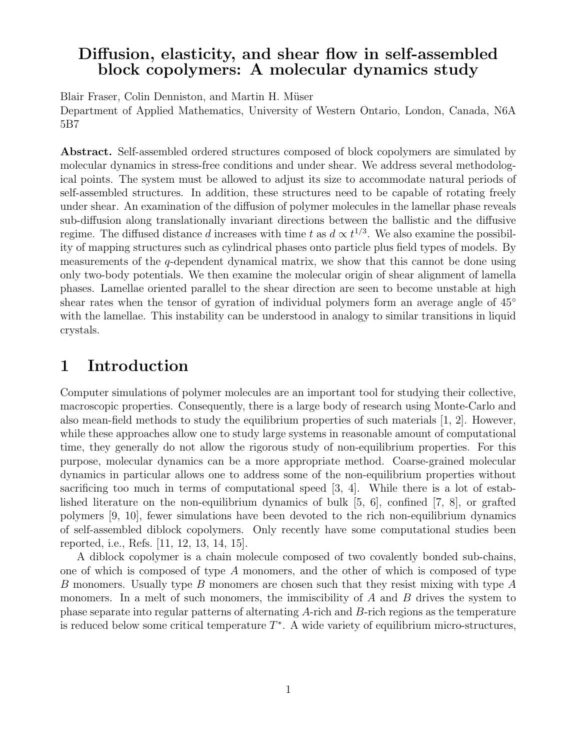## Diffusion, elasticity, and shear flow in self-assembled block copolymers: A molecular dynamics study

Blair Fraser, Colin Denniston, and Martin H. Müser

Department of Applied Mathematics, University of Western Ontario, London, Canada, N6A 5B7

Abstract. Self-assembled ordered structures composed of block copolymers are simulated by molecular dynamics in stress-free conditions and under shear. We address several methodological points. The system must be allowed to adjust its size to accommodate natural periods of self-assembled structures. In addition, these structures need to be capable of rotating freely under shear. An examination of the diffusion of polymer molecules in the lamellar phase reveals sub-diffusion along translationally invariant directions between the ballistic and the diffusive regime. The diffused distance d increases with time t as  $d \propto t^{1/3}$ . We also examine the possibility of mapping structures such as cylindrical phases onto particle plus field types of models. By measurements of the q-dependent dynamical matrix, we show that this cannot be done using only two-body potentials. We then examine the molecular origin of shear alignment of lamella phases. Lamellae oriented parallel to the shear direction are seen to become unstable at high shear rates when the tensor of gyration of individual polymers form an average angle of  $45^{\circ}$ with the lamellae. This instability can be understood in analogy to similar transitions in liquid crystals.

## 1 Introduction

Computer simulations of polymer molecules are an important tool for studying their collective, macroscopic properties. Consequently, there is a large body of research using Monte-Carlo and also mean-field methods to study the equilibrium properties of such materials [1, 2]. However, while these approaches allow one to study large systems in reasonable amount of computational time, they generally do not allow the rigorous study of non-equilibrium properties. For this purpose, molecular dynamics can be a more appropriate method. Coarse-grained molecular dynamics in particular allows one to address some of the non-equilibrium properties without sacrificing too much in terms of computational speed [3, 4]. While there is a lot of established literature on the non-equilibrium dynamics of bulk [5, 6], confined [7, 8], or grafted polymers [9, 10], fewer simulations have been devoted to the rich non-equilibrium dynamics of self-assembled diblock copolymers. Only recently have some computational studies been reported, i.e., Refs. [11, 12, 13, 14, 15].

A diblock copolymer is a chain molecule composed of two covalently bonded sub-chains, one of which is composed of type A monomers, and the other of which is composed of type B monomers. Usually type B monomers are chosen such that they resist mixing with type A monomers. In a melt of such monomers, the immiscibility of  $A$  and  $B$  drives the system to phase separate into regular patterns of alternating A-rich and B-rich regions as the temperature is reduced below some critical temperature  $T^*$ . A wide variety of equilibrium micro-structures,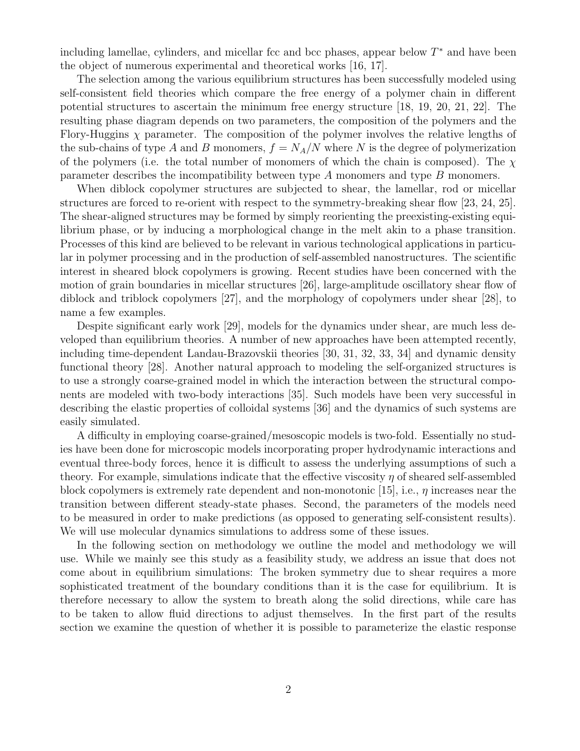including lamellae, cylinders, and micellar fcc and bcc phases, appear below  $T^*$  and have been the object of numerous experimental and theoretical works [16, 17].

The selection among the various equilibrium structures has been successfully modeled using self-consistent field theories which compare the free energy of a polymer chain in different potential structures to ascertain the minimum free energy structure [18, 19, 20, 21, 22]. The resulting phase diagram depends on two parameters, the composition of the polymers and the Flory-Huggins  $\chi$  parameter. The composition of the polymer involves the relative lengths of the sub-chains of type A and B monomers,  $f = N_A/N$  where N is the degree of polymerization of the polymers (i.e. the total number of monomers of which the chain is composed). The  $\chi$ parameter describes the incompatibility between type A monomers and type B monomers.

When diblock copolymer structures are subjected to shear, the lamellar, rod or micellar structures are forced to re-orient with respect to the symmetry-breaking shear flow [23, 24, 25]. The shear-aligned structures may be formed by simply reorienting the preexisting-existing equilibrium phase, or by inducing a morphological change in the melt akin to a phase transition. Processes of this kind are believed to be relevant in various technological applications in particular in polymer processing and in the production of self-assembled nanostructures. The scientific interest in sheared block copolymers is growing. Recent studies have been concerned with the motion of grain boundaries in micellar structures [26], large-amplitude oscillatory shear flow of diblock and triblock copolymers [27], and the morphology of copolymers under shear [28], to name a few examples.

Despite significant early work [29], models for the dynamics under shear, are much less developed than equilibrium theories. A number of new approaches have been attempted recently, including time-dependent Landau-Brazovskii theories [30, 31, 32, 33, 34] and dynamic density functional theory [28]. Another natural approach to modeling the self-organized structures is to use a strongly coarse-grained model in which the interaction between the structural components are modeled with two-body interactions [35]. Such models have been very successful in describing the elastic properties of colloidal systems [36] and the dynamics of such systems are easily simulated.

A difficulty in employing coarse-grained/mesoscopic models is two-fold. Essentially no studies have been done for microscopic models incorporating proper hydrodynamic interactions and eventual three-body forces, hence it is difficult to assess the underlying assumptions of such a theory. For example, simulations indicate that the effective viscosity  $\eta$  of sheared self-assembled block copolymers is extremely rate dependent and non-monotonic [15], i.e.,  $\eta$  increases near the transition between different steady-state phases. Second, the parameters of the models need to be measured in order to make predictions (as opposed to generating self-consistent results). We will use molecular dynamics simulations to address some of these issues.

In the following section on methodology we outline the model and methodology we will use. While we mainly see this study as a feasibility study, we address an issue that does not come about in equilibrium simulations: The broken symmetry due to shear requires a more sophisticated treatment of the boundary conditions than it is the case for equilibrium. It is therefore necessary to allow the system to breath along the solid directions, while care has to be taken to allow fluid directions to adjust themselves. In the first part of the results section we examine the question of whether it is possible to parameterize the elastic response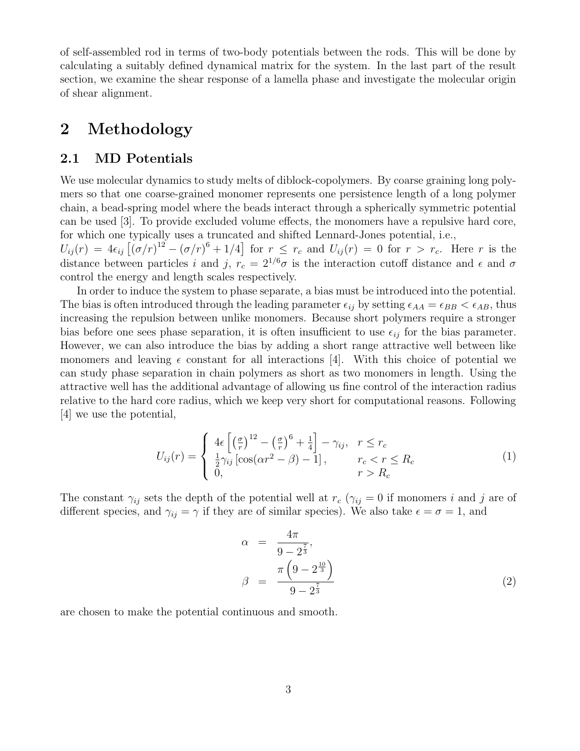of self-assembled rod in terms of two-body potentials between the rods. This will be done by calculating a suitably defined dynamical matrix for the system. In the last part of the result section, we examine the shear response of a lamella phase and investigate the molecular origin of shear alignment.

# 2 Methodology

#### 2.1 MD Potentials

We use molecular dynamics to study melts of diblock-copolymers. By coarse graining long polymers so that one coarse-grained monomer represents one persistence length of a long polymer chain, a bead-spring model where the beads interact through a spherically symmetric potential can be used [3]. To provide excluded volume effects, the monomers have a repulsive hard core, for which one typically uses a truncated and shifted Lennard-Jones potential, i.e.,

 $U_{ij}(r) = 4\epsilon_{ij} \left[ (\sigma/r)^{12} - (\sigma/r)^6 + 1/4 \right]$  for  $r \leq r_c$  and  $U_{ij}(r) = 0$  for  $r > r_c$ . Here r is the distance between particles i and j,  $r_c = 2^{1/6}\sigma$  is the interaction cutoff distance and  $\epsilon$  and  $\sigma$ control the energy and length scales respectively.

In order to induce the system to phase separate, a bias must be introduced into the potential. The bias is often introduced through the leading parameter  $\epsilon_{ij}$  by setting  $\epsilon_{AA} = \epsilon_{BB} < \epsilon_{AB}$ , thus increasing the repulsion between unlike monomers. Because short polymers require a stronger bias before one sees phase separation, it is often insufficient to use  $\epsilon_{ij}$  for the bias parameter. However, we can also introduce the bias by adding a short range attractive well between like monomers and leaving  $\epsilon$  constant for all interactions [4]. With this choice of potential we can study phase separation in chain polymers as short as two monomers in length. Using the attractive well has the additional advantage of allowing us fine control of the interaction radius relative to the hard core radius, which we keep very short for computational reasons. Following [4] we use the potential,

$$
U_{ij}(r) = \begin{cases} 4\epsilon \left[ \left(\frac{\sigma}{r}\right)^{12} - \left(\frac{\sigma}{r}\right)^6 + \frac{1}{4} \right] - \gamma_{ij}, & r \le r_c \\ \frac{1}{2} \gamma_{ij} \left[ \cos(\alpha r^2 - \beta) - 1 \right], & r_c < r \le R_c \\ 0, & r > R_c \end{cases}
$$
(1)

The constant  $\gamma_{ij}$  sets the depth of the potential well at  $r_c$  ( $\gamma_{ij} = 0$  if monomers i and j are of different species, and  $\gamma_{ij} = \gamma$  if they are of similar species). We also take  $\epsilon = \sigma = 1$ , and

$$
\alpha = \frac{4\pi}{9 - 2^{\frac{7}{3}}},
$$
  

$$
\beta = \frac{\pi \left(9 - 2^{\frac{10}{3}}\right)}{9 - 2^{\frac{7}{3}}}
$$
 (2)

are chosen to make the potential continuous and smooth.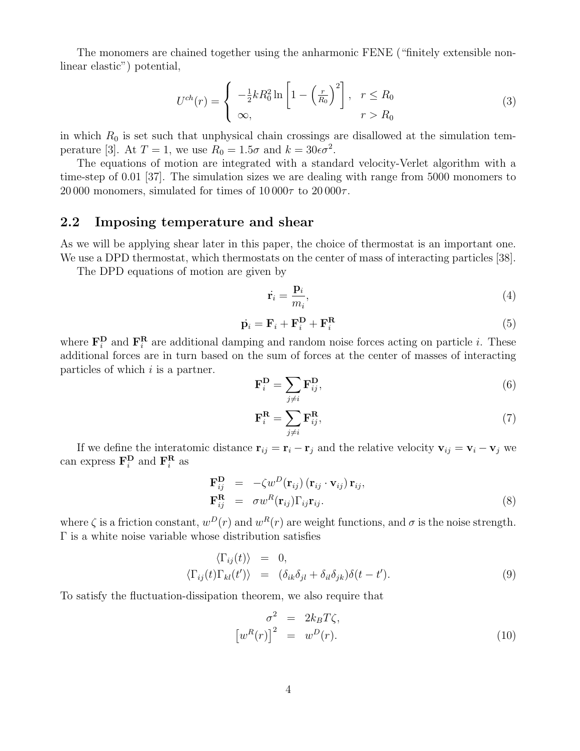The monomers are chained together using the anharmonic FENE ("finitely extensible nonlinear elastic") potential,

$$
U^{ch}(r) = \begin{cases} -\frac{1}{2}kR_0^2 \ln\left[1 - \left(\frac{r}{R_0}\right)^2\right], & r \le R_0\\ \infty, & r > R_0 \end{cases}
$$
 (3)

in which  $R_0$  is set such that unphysical chain crossings are disallowed at the simulation temperature [3]. At  $T = 1$ , we use  $R_0 = 1.5\sigma$  and  $k = 30\epsilon\sigma^2$ .

The equations of motion are integrated with a standard velocity-Verlet algorithm with a time-step of 0.01 [37]. The simulation sizes we are dealing with range from 5000 monomers to 20 000 monomers, simulated for times of  $10\,000\tau$  to  $20\,000\tau$ .

#### 2.2 Imposing temperature and shear

As we will be applying shear later in this paper, the choice of thermostat is an important one. We use a DPD thermostat, which thermostats on the center of mass of interacting particles [38].

The DPD equations of motion are given by

$$
\dot{\mathbf{r}}_i = \frac{\mathbf{p}_i}{m_i},\tag{4}
$$

$$
\dot{\mathbf{p}}_i = \mathbf{F}_i + \mathbf{F}_i^{\mathbf{D}} + \mathbf{F}_i^{\mathbf{R}} \tag{5}
$$

where  $\mathbf{F}_i^{\mathbf{D}}$  $P_i$  and  $F_i^R$  $i$ <sup>t</sup> are additional damping and random noise forces acting on particle *i*. These additional forces are in turn based on the sum of forces at the center of masses of interacting particles of which  $i$  is a partner.

$$
\mathbf{F}_i^{\mathbf{D}} = \sum_{j \neq i} \mathbf{F}_{ij}^{\mathbf{D}},\tag{6}
$$

$$
\mathbf{F}_i^{\mathbf{R}} = \sum_{j \neq i} \mathbf{F}_{ij}^{\mathbf{R}},\tag{7}
$$

If we define the interatomic distance  $\mathbf{r}_{ij} = \mathbf{r}_i - \mathbf{r}_j$  and the relative velocity  $\mathbf{v}_{ij} = \mathbf{v}_i - \mathbf{v}_j$  we can express  $\mathbf{F}^{\mathbf{D}}_i$  $P_i$  and  $F_i^R$  $\frac{\mathbf{R}}{i}$  as

$$
\mathbf{F}_{ij}^{\mathbf{D}} = -\zeta w^{D}(\mathbf{r}_{ij}) (\mathbf{r}_{ij} \cdot \mathbf{v}_{ij}) \mathbf{r}_{ij}, \n\mathbf{F}_{ij}^{\mathbf{R}} = \sigma w^{R}(\mathbf{r}_{ij}) \Gamma_{ij} \mathbf{r}_{ij}.
$$
\n(8)

where  $\zeta$  is a friction constant,  $w^D(r)$  and  $w^R(r)$  are weight functions, and  $\sigma$  is the noise strength. Γ is a white noise variable whose distribution satisfies

$$
\langle \Gamma_{ij}(t) \rangle = 0, \n\langle \Gamma_{ij}(t) \Gamma_{kl}(t') \rangle = (\delta_{ik}\delta_{jl} + \delta_{il}\delta_{jk})\delta(t - t').
$$
\n(9)

To satisfy the fluctuation-dissipation theorem, we also require that

$$
\sigma^2 = 2k_B T \zeta,
$$
  
\n
$$
\left[w^R(r)\right]^2 = w^D(r).
$$
\n(10)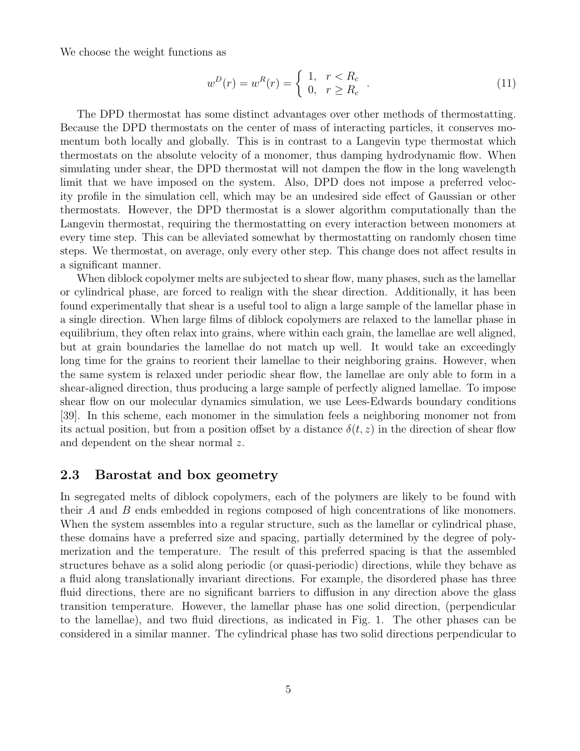We choose the weight functions as

$$
w^{D}(r) = w^{R}(r) = \begin{cases} 1, & r < R_{c} \\ 0, & r \ge R_{c} \end{cases} .
$$
 (11)

The DPD thermostat has some distinct advantages over other methods of thermostatting. Because the DPD thermostats on the center of mass of interacting particles, it conserves momentum both locally and globally. This is in contrast to a Langevin type thermostat which thermostats on the absolute velocity of a monomer, thus damping hydrodynamic flow. When simulating under shear, the DPD thermostat will not dampen the flow in the long wavelength limit that we have imposed on the system. Also, DPD does not impose a preferred velocity profile in the simulation cell, which may be an undesired side effect of Gaussian or other thermostats. However, the DPD thermostat is a slower algorithm computationally than the Langevin thermostat, requiring the thermostatting on every interaction between monomers at every time step. This can be alleviated somewhat by thermostatting on randomly chosen time steps. We thermostat, on average, only every other step. This change does not affect results in a significant manner.

When diblock copolymer melts are subjected to shear flow, many phases, such as the lamellar or cylindrical phase, are forced to realign with the shear direction. Additionally, it has been found experimentally that shear is a useful tool to align a large sample of the lamellar phase in a single direction. When large films of diblock copolymers are relaxed to the lamellar phase in equilibrium, they often relax into grains, where within each grain, the lamellae are well aligned, but at grain boundaries the lamellae do not match up well. It would take an exceedingly long time for the grains to reorient their lamellae to their neighboring grains. However, when the same system is relaxed under periodic shear flow, the lamellae are only able to form in a shear-aligned direction, thus producing a large sample of perfectly aligned lamellae. To impose shear flow on our molecular dynamics simulation, we use Lees-Edwards boundary conditions [39]. In this scheme, each monomer in the simulation feels a neighboring monomer not from its actual position, but from a position offset by a distance  $\delta(t, z)$  in the direction of shear flow and dependent on the shear normal z.

#### 2.3 Barostat and box geometry

In segregated melts of diblock copolymers, each of the polymers are likely to be found with their A and B ends embedded in regions composed of high concentrations of like monomers. When the system assembles into a regular structure, such as the lamellar or cylindrical phase, these domains have a preferred size and spacing, partially determined by the degree of polymerization and the temperature. The result of this preferred spacing is that the assembled structures behave as a solid along periodic (or quasi-periodic) directions, while they behave as a fluid along translationally invariant directions. For example, the disordered phase has three fluid directions, there are no significant barriers to diffusion in any direction above the glass transition temperature. However, the lamellar phase has one solid direction, (perpendicular to the lamellae), and two fluid directions, as indicated in Fig. 1. The other phases can be considered in a similar manner. The cylindrical phase has two solid directions perpendicular to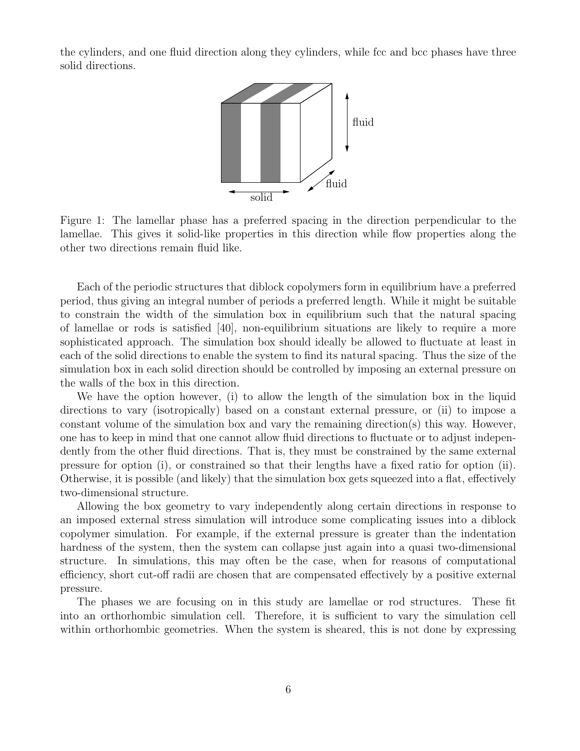the cylinders, and one fluid direction along they cylinders, while fcc and bcc phases have three solid directions.



Figure 1: The lamellar phase has a preferred spacing in the direction perpendicular to the lamellae. This gives it solid-like properties in this direction while flow properties along the other two directions remain fluid like.

Each of the periodic structures that diblock copolymers form in equilibrium have a preferred period, thus giving an integral number of periods a preferred length. While it might be suitable to constrain the width of the simulation box in equilibrium such that the natural spacing of lamellae or rods is satisfied [40], non-equilibrium situations are likely to require a more sophisticated approach. The simulation box should ideally be allowed to fluctuate at least in each of the solid directions to enable the system to find its natural spacing. Thus the size of the simulation box in each solid direction should be controlled by imposing an external pressure on the walls of the box in this direction.

We have the option however, (i) to allow the length of the simulation box in the liquid directions to vary (isotropically) based on a constant external pressure, or (ii) to impose a constant volume of the simulation box and vary the remaining direction(s) this way. However, one has to keep in mind that one cannot allow fluid directions to fluctuate or to adjust independently from the other fluid directions. That is, they must be constrained by the same external pressure for option (i), or constrained so that their lengths have a fixed ratio for option (ii). Otherwise, it is possible (and likely) that the simulation box gets squeezed into a flat, effectively two-dimensional structure.

Allowing the box geometry to vary independently along certain directions in response to an imposed external stress simulation will introduce some complicating issues into a diblock copolymer simulation. For example, if the external pressure is greater than the indentation hardness of the system, then the system can collapse just again into a quasi two-dimensional structure. In simulations, this may often be the case, when for reasons of computational efficiency, short cut-off radii are chosen that are compensated effectively by a positive external pressure.

The phases we are focusing on in this study are lamellae or rod structures. These fit into an orthorhombic simulation cell. Therefore, it is sufficient to vary the simulation cell within orthorhombic geometries. When the system is sheared, this is not done by expressing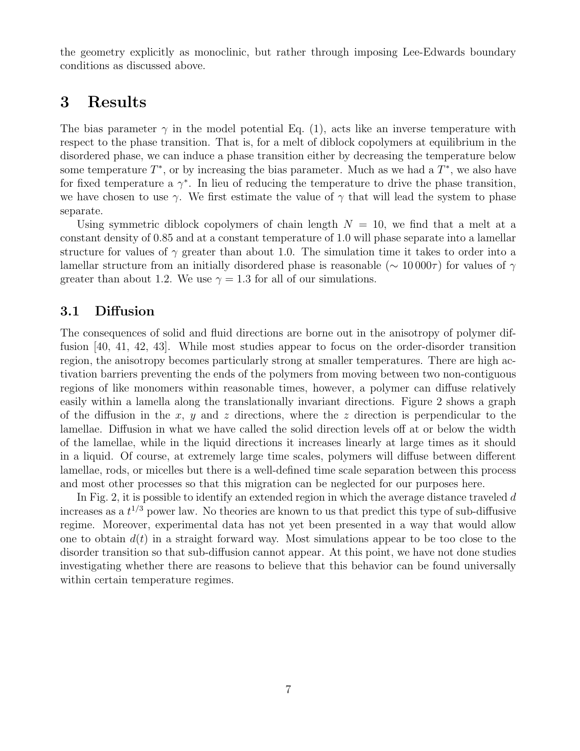the geometry explicitly as monoclinic, but rather through imposing Lee-Edwards boundary conditions as discussed above.

## 3 Results

The bias parameter  $\gamma$  in the model potential Eq. (1), acts like an inverse temperature with respect to the phase transition. That is, for a melt of diblock copolymers at equilibrium in the disordered phase, we can induce a phase transition either by decreasing the temperature below some temperature  $T^*$ , or by increasing the bias parameter. Much as we had a  $T^*$ , we also have for fixed temperature a  $\gamma^*$ . In lieu of reducing the temperature to drive the phase transition, we have chosen to use  $\gamma$ . We first estimate the value of  $\gamma$  that will lead the system to phase separate.

Using symmetric diblock copolymers of chain length  $N = 10$ , we find that a melt at a constant density of 0.85 and at a constant temperature of 1.0 will phase separate into a lamellar structure for values of  $\gamma$  greater than about 1.0. The simulation time it takes to order into a lamellar structure from an initially disordered phase is reasonable ( $\sim 10000\tau$ ) for values of  $\gamma$ greater than about 1.2. We use  $\gamma = 1.3$  for all of our simulations.

#### 3.1 Diffusion

The consequences of solid and fluid directions are borne out in the anisotropy of polymer diffusion [40, 41, 42, 43]. While most studies appear to focus on the order-disorder transition region, the anisotropy becomes particularly strong at smaller temperatures. There are high activation barriers preventing the ends of the polymers from moving between two non-contiguous regions of like monomers within reasonable times, however, a polymer can diffuse relatively easily within a lamella along the translationally invariant directions. Figure 2 shows a graph of the diffusion in the x, y and z directions, where the z direction is perpendicular to the lamellae. Diffusion in what we have called the solid direction levels off at or below the width of the lamellae, while in the liquid directions it increases linearly at large times as it should in a liquid. Of course, at extremely large time scales, polymers will diffuse between different lamellae, rods, or micelles but there is a well-defined time scale separation between this process and most other processes so that this migration can be neglected for our purposes here.

In Fig. 2, it is possible to identify an extended region in which the average distance traveled  $d$ increases as a  $t^{1/3}$  power law. No theories are known to us that predict this type of sub-diffusive regime. Moreover, experimental data has not yet been presented in a way that would allow one to obtain  $d(t)$  in a straight forward way. Most simulations appear to be too close to the disorder transition so that sub-diffusion cannot appear. At this point, we have not done studies investigating whether there are reasons to believe that this behavior can be found universally within certain temperature regimes.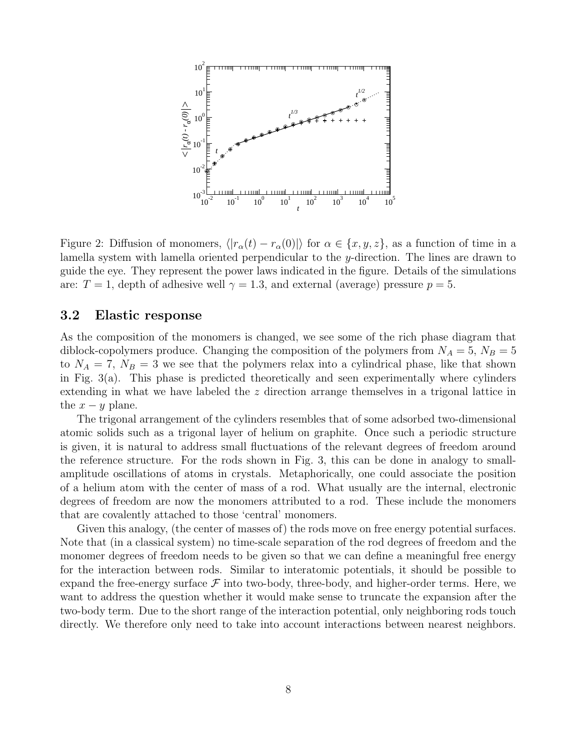

Figure 2: Diffusion of monomers,  $\langle |r_\alpha(t) - r_\alpha(0)| \rangle$  for  $\alpha \in \{x, y, z\}$ , as a function of time in a lamella system with lamella oriented perpendicular to the y-direction. The lines are drawn to guide the eye. They represent the power laws indicated in the figure. Details of the simulations are:  $T = 1$ , depth of adhesive well  $\gamma = 1.3$ , and external (average) pressure  $p = 5$ .

#### 3.2 Elastic response

As the composition of the monomers is changed, we see some of the rich phase diagram that diblock-copolymers produce. Changing the composition of the polymers from  $N_A = 5$ ,  $N_B = 5$ to  $N_A = 7$ ,  $N_B = 3$  we see that the polymers relax into a cylindrical phase, like that shown in Fig. 3(a). This phase is predicted theoretically and seen experimentally where cylinders extending in what we have labeled the  $z$  direction arrange themselves in a trigonal lattice in the  $x - y$  plane.

The trigonal arrangement of the cylinders resembles that of some adsorbed two-dimensional atomic solids such as a trigonal layer of helium on graphite. Once such a periodic structure is given, it is natural to address small fluctuations of the relevant degrees of freedom around the reference structure. For the rods shown in Fig. 3, this can be done in analogy to smallamplitude oscillations of atoms in crystals. Metaphorically, one could associate the position of a helium atom with the center of mass of a rod. What usually are the internal, electronic degrees of freedom are now the monomers attributed to a rod. These include the monomers that are covalently attached to those 'central' monomers.

Given this analogy, (the center of masses of) the rods move on free energy potential surfaces. Note that (in a classical system) no time-scale separation of the rod degrees of freedom and the monomer degrees of freedom needs to be given so that we can define a meaningful free energy for the interaction between rods. Similar to interatomic potentials, it should be possible to expand the free-energy surface  $\mathcal F$  into two-body, three-body, and higher-order terms. Here, we want to address the question whether it would make sense to truncate the expansion after the two-body term. Due to the short range of the interaction potential, only neighboring rods touch directly. We therefore only need to take into account interactions between nearest neighbors.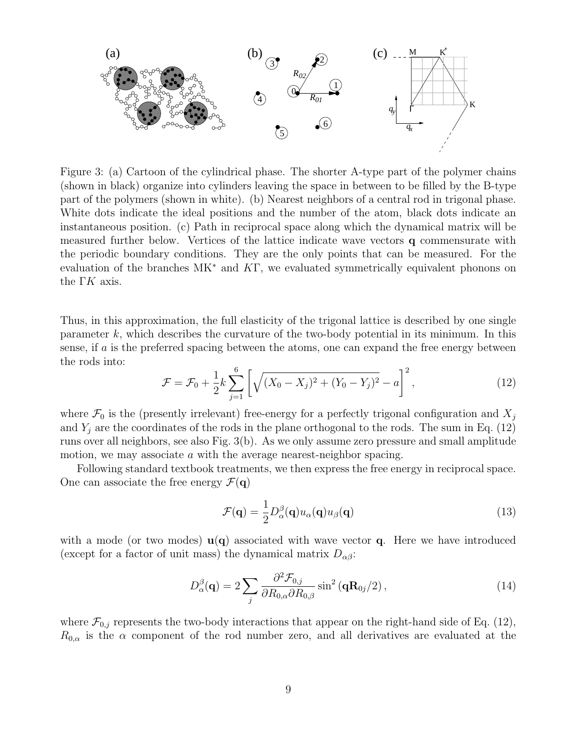

Figure 3: (a) Cartoon of the cylindrical phase. The shorter A-type part of the polymer chains (shown in black) organize into cylinders leaving the space in between to be filled by the B-type part of the polymers (shown in white). (b) Nearest neighbors of a central rod in trigonal phase. White dots indicate the ideal positions and the number of the atom, black dots indicate an instantaneous position. (c) Path in reciprocal space along which the dynamical matrix will be measured further below. Vertices of the lattice indicate wave vectors q commensurate with the periodic boundary conditions. They are the only points that can be measured. For the evaluation of the branches  $MK<sup>*</sup>$  and  $KT$ , we evaluated symmetrically equivalent phonons on the  $\Gamma K$  axis.

Thus, in this approximation, the full elasticity of the trigonal lattice is described by one single parameter  $k$ , which describes the curvature of the two-body potential in its minimum. In this sense, if  $\alpha$  is the preferred spacing between the atoms, one can expand the free energy between the rods into:

$$
\mathcal{F} = \mathcal{F}_0 + \frac{1}{2}k \sum_{j=1}^{6} \left[ \sqrt{(X_0 - X_j)^2 + (Y_0 - Y_j)^2} - a \right]^2, \tag{12}
$$

where  $\mathcal{F}_0$  is the (presently irrelevant) free-energy for a perfectly trigonal configuration and  $X_j$ and  $Y_i$  are the coordinates of the rods in the plane orthogonal to the rods. The sum in Eq. (12) runs over all neighbors, see also Fig. 3(b). As we only assume zero pressure and small amplitude motion, we may associate a with the average nearest-neighbor spacing.

Following standard textbook treatments, we then express the free energy in reciprocal space. One can associate the free energy  $\mathcal{F}(\mathbf{q})$ 

$$
\mathcal{F}(\mathbf{q}) = \frac{1}{2} D_{\alpha}^{\beta}(\mathbf{q}) u_{\alpha}(\mathbf{q}) u_{\beta}(\mathbf{q})
$$
\n(13)

with a mode (or two modes)  $\mathbf{u}(\mathbf{q})$  associated with wave vector q. Here we have introduced (except for a factor of unit mass) the dynamical matrix  $D_{\alpha\beta}$ :

$$
D_{\alpha}^{\beta}(\mathbf{q}) = 2 \sum_{j} \frac{\partial^2 \mathcal{F}_{0,j}}{\partial R_{0,\alpha} \partial R_{0,\beta}} \sin^2 \left(\mathbf{q} \mathbf{R}_{0j}/2\right), \tag{14}
$$

where  $\mathcal{F}_{0,j}$  represents the two-body interactions that appear on the right-hand side of Eq. (12),  $R_{0,\alpha}$  is the  $\alpha$  component of the rod number zero, and all derivatives are evaluated at the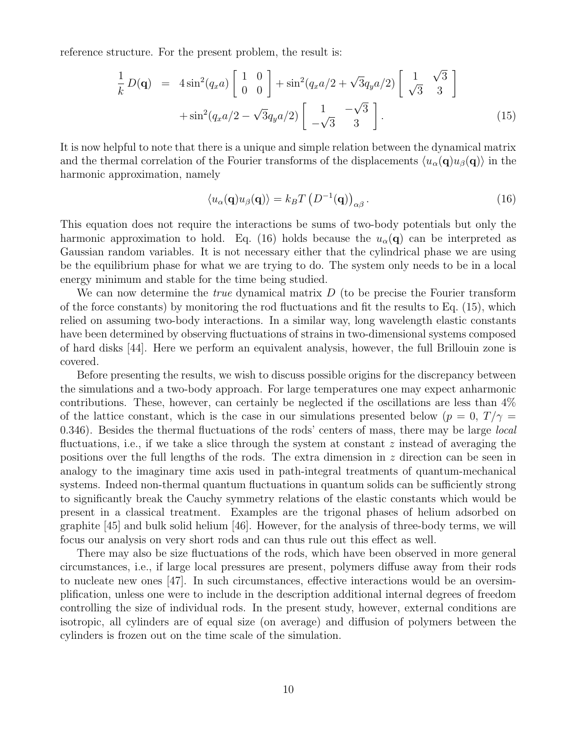reference structure. For the present problem, the result is:

$$
\frac{1}{k}D(\mathbf{q}) = 4\sin^2(q_x a) \begin{bmatrix} 1 & 0 \ 0 & 0 \end{bmatrix} + \sin^2(q_x a/2 + \sqrt{3}q_y a/2) \begin{bmatrix} 1 & \sqrt{3} \ \sqrt{3} & 3 \end{bmatrix} + \sin^2(q_x a/2 - \sqrt{3}q_y a/2) \begin{bmatrix} 1 & -\sqrt{3} \ -\sqrt{3} & 3 \end{bmatrix}.
$$
\n(15)

It is now helpful to note that there is a unique and simple relation between the dynamical matrix and the thermal correlation of the Fourier transforms of the displacements  $\langle u_{\alpha}(\mathbf{q})u_{\beta}(\mathbf{q})\rangle$  in the harmonic approximation, namely

$$
\langle u_{\alpha}(\mathbf{q})u_{\beta}(\mathbf{q})\rangle = k_B T \left( D^{-1}(\mathbf{q}) \right)_{\alpha\beta}.
$$
 (16)

This equation does not require the interactions be sums of two-body potentials but only the harmonic approximation to hold. Eq. (16) holds because the  $u_{\alpha}(\mathbf{q})$  can be interpreted as Gaussian random variables. It is not necessary either that the cylindrical phase we are using be the equilibrium phase for what we are trying to do. The system only needs to be in a local energy minimum and stable for the time being studied.

We can now determine the *true* dynamical matrix  $D$  (to be precise the Fourier transform of the force constants) by monitoring the rod fluctuations and fit the results to Eq. (15), which relied on assuming two-body interactions. In a similar way, long wavelength elastic constants have been determined by observing fluctuations of strains in two-dimensional systems composed of hard disks [44]. Here we perform an equivalent analysis, however, the full Brillouin zone is covered.

Before presenting the results, we wish to discuss possible origins for the discrepancy between the simulations and a two-body approach. For large temperatures one may expect anharmonic contributions. These, however, can certainly be neglected if the oscillations are less than 4% of the lattice constant, which is the case in our simulations presented below ( $p = 0, T/\gamma =$ 0.346). Besides the thermal fluctuations of the rods' centers of mass, there may be large *local* fluctuations, i.e., if we take a slice through the system at constant  $z$  instead of averaging the positions over the full lengths of the rods. The extra dimension in z direction can be seen in analogy to the imaginary time axis used in path-integral treatments of quantum-mechanical systems. Indeed non-thermal quantum fluctuations in quantum solids can be sufficiently strong to significantly break the Cauchy symmetry relations of the elastic constants which would be present in a classical treatment. Examples are the trigonal phases of helium adsorbed on graphite [45] and bulk solid helium [46]. However, for the analysis of three-body terms, we will focus our analysis on very short rods and can thus rule out this effect as well.

There may also be size fluctuations of the rods, which have been observed in more general circumstances, i.e., if large local pressures are present, polymers diffuse away from their rods to nucleate new ones [47]. In such circumstances, effective interactions would be an oversimplification, unless one were to include in the description additional internal degrees of freedom controlling the size of individual rods. In the present study, however, external conditions are isotropic, all cylinders are of equal size (on average) and diffusion of polymers between the cylinders is frozen out on the time scale of the simulation.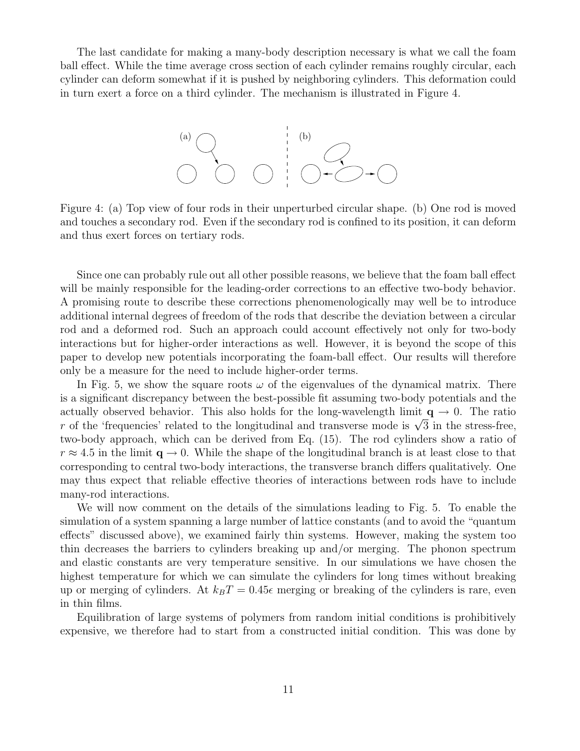The last candidate for making a many-body description necessary is what we call the foam ball effect. While the time average cross section of each cylinder remains roughly circular, each cylinder can deform somewhat if it is pushed by neighboring cylinders. This deformation could in turn exert a force on a third cylinder. The mechanism is illustrated in Figure 4.



Figure 4: (a) Top view of four rods in their unperturbed circular shape. (b) One rod is moved and touches a secondary rod. Even if the secondary rod is confined to its position, it can deform and thus exert forces on tertiary rods.

Since one can probably rule out all other possible reasons, we believe that the foam ball effect will be mainly responsible for the leading-order corrections to an effective two-body behavior. A promising route to describe these corrections phenomenologically may well be to introduce additional internal degrees of freedom of the rods that describe the deviation between a circular rod and a deformed rod. Such an approach could account effectively not only for two-body interactions but for higher-order interactions as well. However, it is beyond the scope of this paper to develop new potentials incorporating the foam-ball effect. Our results will therefore only be a measure for the need to include higher-order terms.

In Fig. 5, we show the square roots  $\omega$  of the eigenvalues of the dynamical matrix. There is a significant discrepancy between the best-possible fit assuming two-body potentials and the actually observed behavior. This also holds for the long-wavelength limit  $q \to 0$ . The ratio r of the 'frequencies' related to the longitudinal and transverse mode is  $\sqrt{3}$  in the stress-free, two-body approach, which can be derived from Eq. (15). The rod cylinders show a ratio of  $r \approx 4.5$  in the limit  $\mathbf{q} \to 0$ . While the shape of the longitudinal branch is at least close to that corresponding to central two-body interactions, the transverse branch differs qualitatively. One may thus expect that reliable effective theories of interactions between rods have to include many-rod interactions.

We will now comment on the details of the simulations leading to Fig. 5. To enable the simulation of a system spanning a large number of lattice constants (and to avoid the "quantum effects" discussed above), we examined fairly thin systems. However, making the system too thin decreases the barriers to cylinders breaking up and/or merging. The phonon spectrum and elastic constants are very temperature sensitive. In our simulations we have chosen the highest temperature for which we can simulate the cylinders for long times without breaking up or merging of cylinders. At  $k_BT = 0.45\epsilon$  merging or breaking of the cylinders is rare, even in thin films.

Equilibration of large systems of polymers from random initial conditions is prohibitively expensive, we therefore had to start from a constructed initial condition. This was done by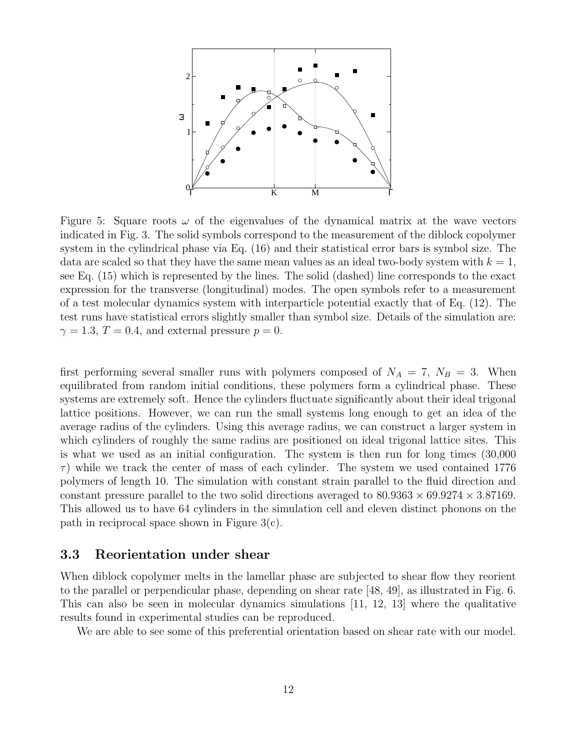

Figure 5: Square roots  $\omega$  of the eigenvalues of the dynamical matrix at the wave vectors indicated in Fig. 3. The solid symbols correspond to the measurement of the diblock copolymer system in the cylindrical phase via Eq. (16) and their statistical error bars is symbol size. The data are scaled so that they have the same mean values as an ideal two-body system with  $k = 1$ , see Eq. (15) which is represented by the lines. The solid (dashed) line corresponds to the exact expression for the transverse (longitudinal) modes. The open symbols refer to a measurement of a test molecular dynamics system with interparticle potential exactly that of Eq. (12). The test runs have statistical errors slightly smaller than symbol size. Details of the simulation are:  $\gamma = 1.3, T = 0.4$ , and external pressure  $p = 0$ .

first performing several smaller runs with polymers composed of  $N_A = 7$ ,  $N_B = 3$ . When equilibrated from random initial conditions, these polymers form a cylindrical phase. These systems are extremely soft. Hence the cylinders fluctuate significantly about their ideal trigonal lattice positions. However, we can run the small systems long enough to get an idea of the average radius of the cylinders. Using this average radius, we can construct a larger system in which cylinders of roughly the same radius are positioned on ideal trigonal lattice sites. This is what we used as an initial configuration. The system is then run for long times (30,000  $\tau$ ) while we track the center of mass of each cylinder. The system we used contained 1776 polymers of length 10. The simulation with constant strain parallel to the fluid direction and constant pressure parallel to the two solid directions averaged to  $80.9363 \times 69.9274 \times 3.87169$ . This allowed us to have 64 cylinders in the simulation cell and eleven distinct phonons on the path in reciprocal space shown in Figure 3(c).

#### 3.3 Reorientation under shear

When diblock copolymer melts in the lamellar phase are subjected to shear flow they reorient to the parallel or perpendicular phase, depending on shear rate [48, 49], as illustrated in Fig. 6. This can also be seen in molecular dynamics simulations [11, 12, 13] where the qualitative results found in experimental studies can be reproduced.

We are able to see some of this preferential orientation based on shear rate with our model.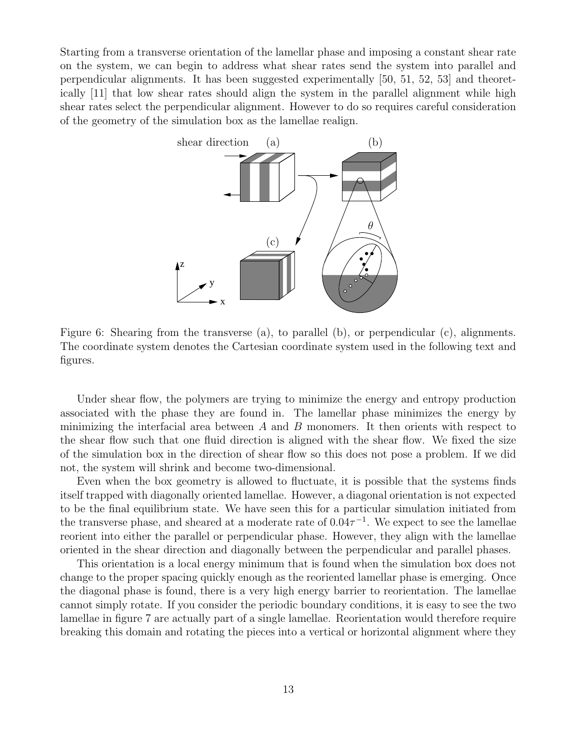Starting from a transverse orientation of the lamellar phase and imposing a constant shear rate on the system, we can begin to address what shear rates send the system into parallel and perpendicular alignments. It has been suggested experimentally [50, 51, 52, 53] and theoretically [11] that low shear rates should align the system in the parallel alignment while high shear rates select the perpendicular alignment. However to do so requires careful consideration of the geometry of the simulation box as the lamellae realign.



Figure 6: Shearing from the transverse (a), to parallel (b), or perpendicular (c), alignments. The coordinate system denotes the Cartesian coordinate system used in the following text and figures.

Under shear flow, the polymers are trying to minimize the energy and entropy production associated with the phase they are found in. The lamellar phase minimizes the energy by minimizing the interfacial area between  $A$  and  $B$  monomers. It then orients with respect to the shear flow such that one fluid direction is aligned with the shear flow. We fixed the size of the simulation box in the direction of shear flow so this does not pose a problem. If we did not, the system will shrink and become two-dimensional.

Even when the box geometry is allowed to fluctuate, it is possible that the systems finds itself trapped with diagonally oriented lamellae. However, a diagonal orientation is not expected to be the final equilibrium state. We have seen this for a particular simulation initiated from the transverse phase, and sheared at a moderate rate of  $0.04\tau^{-1}$ . We expect to see the lamellae reorient into either the parallel or perpendicular phase. However, they align with the lamellae oriented in the shear direction and diagonally between the perpendicular and parallel phases.

This orientation is a local energy minimum that is found when the simulation box does not change to the proper spacing quickly enough as the reoriented lamellar phase is emerging. Once the diagonal phase is found, there is a very high energy barrier to reorientation. The lamellae cannot simply rotate. If you consider the periodic boundary conditions, it is easy to see the two lamellae in figure 7 are actually part of a single lamellae. Reorientation would therefore require breaking this domain and rotating the pieces into a vertical or horizontal alignment where they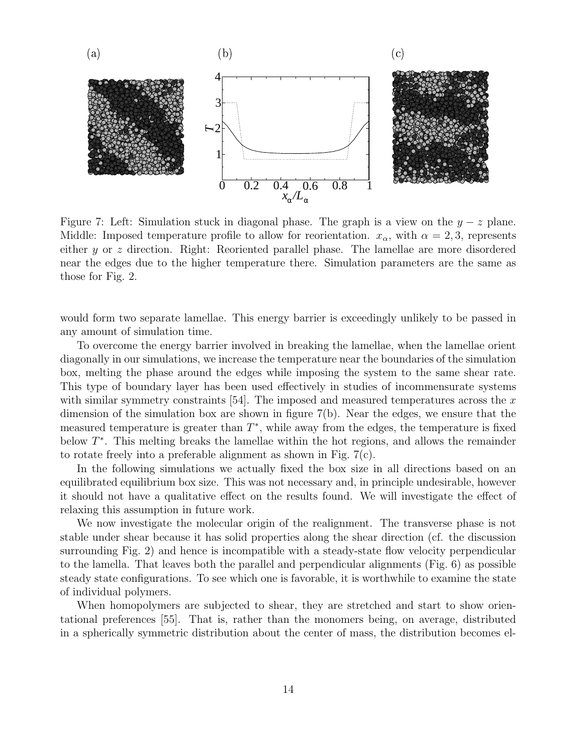

Figure 7: Left: Simulation stuck in diagonal phase. The graph is a view on the  $y - z$  plane. Middle: Imposed temperature profile to allow for reorientation.  $x_{\alpha}$ , with  $\alpha = 2, 3$ , represents either y or z direction. Right: Reoriented parallel phase. The lamellae are more disordered near the edges due to the higher temperature there. Simulation parameters are the same as those for Fig. 2.

would form two separate lamellae. This energy barrier is exceedingly unlikely to be passed in any amount of simulation time.

To overcome the energy barrier involved in breaking the lamellae, when the lamellae orient diagonally in our simulations, we increase the temperature near the boundaries of the simulation box, melting the phase around the edges while imposing the system to the same shear rate. This type of boundary layer has been used effectively in studies of incommensurate systems with similar symmetry constraints [54]. The imposed and measured temperatures across the  $x$ dimension of the simulation box are shown in figure 7(b). Near the edges, we ensure that the measured temperature is greater than  $T^*$ , while away from the edges, the temperature is fixed below  $T^*$ . This melting breaks the lamellae within the hot regions, and allows the remainder to rotate freely into a preferable alignment as shown in Fig. 7(c).

In the following simulations we actually fixed the box size in all directions based on an equilibrated equilibrium box size. This was not necessary and, in principle undesirable, however it should not have a qualitative effect on the results found. We will investigate the effect of relaxing this assumption in future work.

We now investigate the molecular origin of the realignment. The transverse phase is not stable under shear because it has solid properties along the shear direction (cf. the discussion surrounding Fig. 2) and hence is incompatible with a steady-state flow velocity perpendicular to the lamella. That leaves both the parallel and perpendicular alignments (Fig. 6) as possible steady state configurations. To see which one is favorable, it is worthwhile to examine the state of individual polymers.

When homopolymers are subjected to shear, they are stretched and start to show orientational preferences [55]. That is, rather than the monomers being, on average, distributed in a spherically symmetric distribution about the center of mass, the distribution becomes el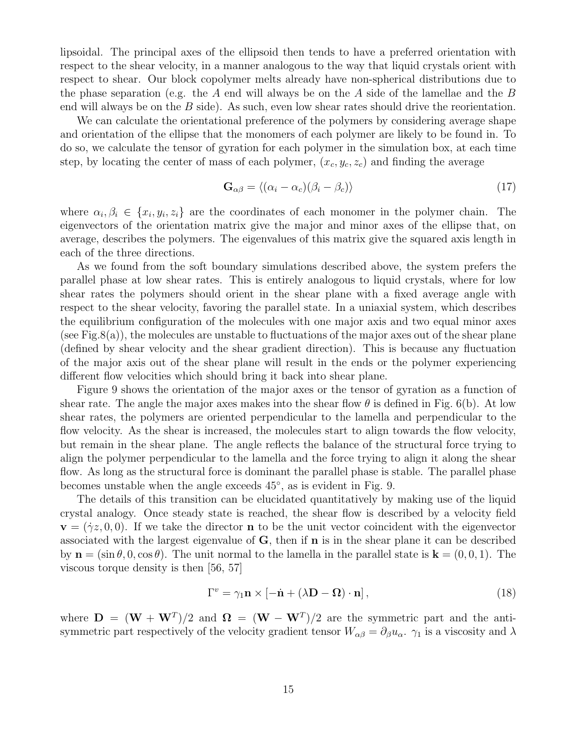lipsoidal. The principal axes of the ellipsoid then tends to have a preferred orientation with respect to the shear velocity, in a manner analogous to the way that liquid crystals orient with respect to shear. Our block copolymer melts already have non-spherical distributions due to the phase separation (e.g. the A end will always be on the A side of the lamellae and the B end will always be on the  $B$  side). As such, even low shear rates should drive the reorientation.

We can calculate the orientational preference of the polymers by considering average shape and orientation of the ellipse that the monomers of each polymer are likely to be found in. To do so, we calculate the tensor of gyration for each polymer in the simulation box, at each time step, by locating the center of mass of each polymer,  $(x_c, y_c, z_c)$  and finding the average

$$
\mathbf{G}_{\alpha\beta} = \langle (\alpha_i - \alpha_c)(\beta_i - \beta_c) \rangle \tag{17}
$$

where  $\alpha_i, \beta_i \in \{x_i, y_i, z_i\}$  are the coordinates of each monomer in the polymer chain. The eigenvectors of the orientation matrix give the major and minor axes of the ellipse that, on average, describes the polymers. The eigenvalues of this matrix give the squared axis length in each of the three directions.

As we found from the soft boundary simulations described above, the system prefers the parallel phase at low shear rates. This is entirely analogous to liquid crystals, where for low shear rates the polymers should orient in the shear plane with a fixed average angle with respect to the shear velocity, favoring the parallel state. In a uniaxial system, which describes the equilibrium configuration of the molecules with one major axis and two equal minor axes (see Fig.8(a)), the molecules are unstable to fluctuations of the major axes out of the shear plane (defined by shear velocity and the shear gradient direction). This is because any fluctuation of the major axis out of the shear plane will result in the ends or the polymer experiencing different flow velocities which should bring it back into shear plane.

Figure 9 shows the orientation of the major axes or the tensor of gyration as a function of shear rate. The angle the major axes makes into the shear flow  $\theta$  is defined in Fig. 6(b). At low shear rates, the polymers are oriented perpendicular to the lamella and perpendicular to the flow velocity. As the shear is increased, the molecules start to align towards the flow velocity, but remain in the shear plane. The angle reflects the balance of the structural force trying to align the polymer perpendicular to the lamella and the force trying to align it along the shear flow. As long as the structural force is dominant the parallel phase is stable. The parallel phase becomes unstable when the angle exceeds  $45^{\circ}$ , as is evident in Fig. 9.

The details of this transition can be elucidated quantitatively by making use of the liquid crystal analogy. Once steady state is reached, the shear flow is described by a velocity field  ${\bf v} = (\dot{\gamma}z, 0, 0)$ . If we take the director **n** to be the unit vector coincident with the eigenvector associated with the largest eigenvalue of  $G$ , then if  $n$  is in the shear plane it can be described by  $\mathbf{n} = (\sin \theta, 0, \cos \theta)$ . The unit normal to the lamella in the parallel state is  $\mathbf{k} = (0, 0, 1)$ . The viscous torque density is then [56, 57]

$$
\Gamma^v = \gamma_1 \mathbf{n} \times [-\dot{\mathbf{n}} + (\lambda \mathbf{D} - \mathbf{\Omega}) \cdot \mathbf{n}], \qquad (18)
$$

where  $\mathbf{D} = (\mathbf{W} + \mathbf{W}^T)/2$  and  $\mathbf{\Omega} = (\mathbf{W} - \mathbf{W}^T)/2$  are the symmetric part and the antisymmetric part respectively of the velocity gradient tensor  $W_{\alpha\beta} = \partial_{\beta}u_{\alpha}$ .  $\gamma_1$  is a viscosity and  $\lambda$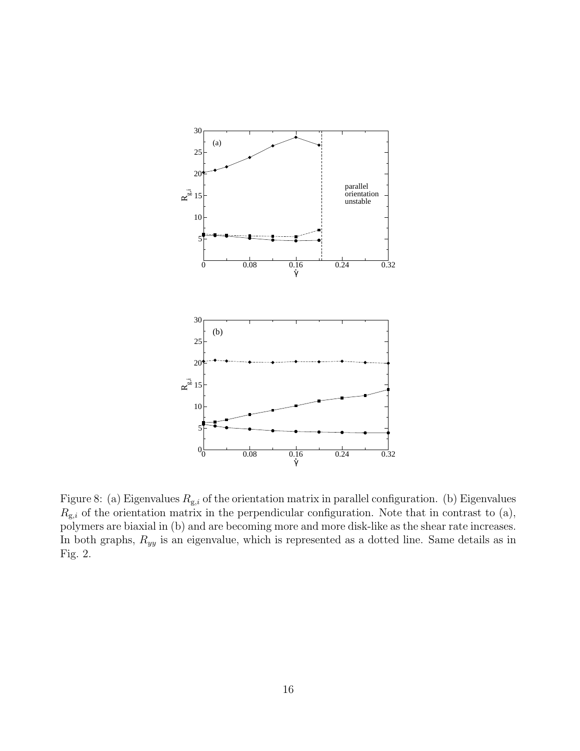

Figure 8: (a) Eigenvalues  $R_{g,i}$  of the orientation matrix in parallel configuration. (b) Eigenvalues  $R_{g,i}$  of the orientation matrix in the perpendicular configuration. Note that in contrast to (a), polymers are biaxial in (b) and are becoming more and more disk-like as the shear rate increases. In both graphs,  $R_{yy}$  is an eigenvalue, which is represented as a dotted line. Same details as in Fig. 2.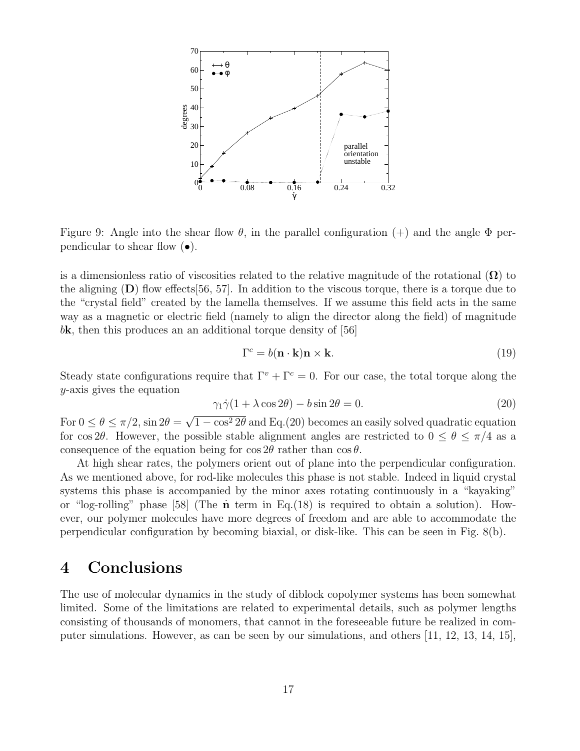

Figure 9: Angle into the shear flow  $\theta$ , in the parallel configuration (+) and the angle  $\Phi$  perpendicular to shear flow  $\left(\bullet\right)$ .

is a dimensionless ratio of viscosities related to the relative magnitude of the rotational  $(\Omega)$  to the aligning  $(D)$  flow effects [56, 57]. In addition to the viscous torque, there is a torque due to the "crystal field" created by the lamella themselves. If we assume this field acts in the same way as a magnetic or electric field (namely to align the director along the field) of magnitude bk, then this produces an an additional torque density of [56]

$$
\Gamma^c = b(\mathbf{n} \cdot \mathbf{k}) \mathbf{n} \times \mathbf{k}.\tag{19}
$$

Steady state configurations require that  $\Gamma^v + \Gamma^c = 0$ . For our case, the total torque along the y-axis gives the equation

$$
\gamma_1 \dot{\gamma} (1 + \lambda \cos 2\theta) - b \sin 2\theta = 0. \tag{20}
$$

For  $0 \le \theta \le \pi/2$ ,  $\sin 2\theta = \sqrt{1 - \cos^2 2\theta}$  and Eq.(20) becomes an easily solved quadratic equation for cos 2θ. However, the possible stable alignment angles are restricted to  $0 \le \theta \le \pi/4$  as a consequence of the equation being for  $\cos 2\theta$  rather than  $\cos \theta$ .

At high shear rates, the polymers orient out of plane into the perpendicular configuration. As we mentioned above, for rod-like molecules this phase is not stable. Indeed in liquid crystal systems this phase is accompanied by the minor axes rotating continuously in a "kayaking" or "log-rolling" phase [58] (The  $\dot{\bf{n}}$  term in Eq.(18) is required to obtain a solution). However, our polymer molecules have more degrees of freedom and are able to accommodate the perpendicular configuration by becoming biaxial, or disk-like. This can be seen in Fig. 8(b).

## 4 Conclusions

The use of molecular dynamics in the study of diblock copolymer systems has been somewhat limited. Some of the limitations are related to experimental details, such as polymer lengths consisting of thousands of monomers, that cannot in the foreseeable future be realized in computer simulations. However, as can be seen by our simulations, and others [11, 12, 13, 14, 15],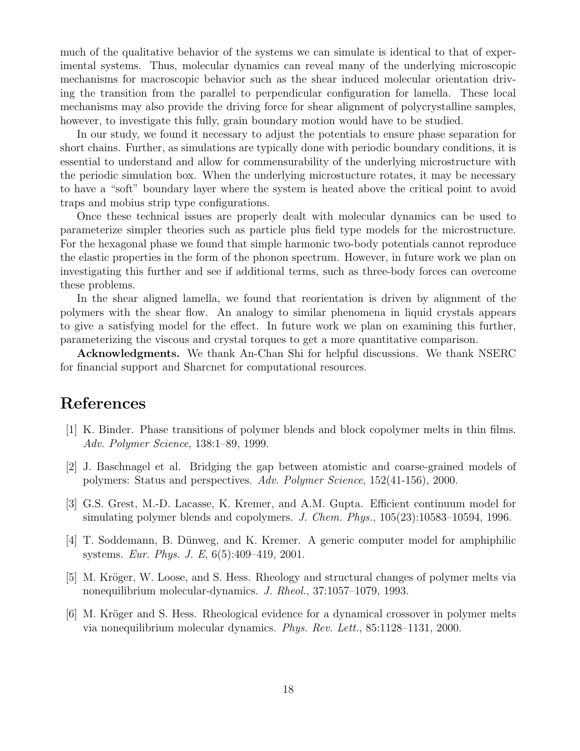much of the qualitative behavior of the systems we can simulate is identical to that of experimental systems. Thus, molecular dynamics can reveal many of the underlying microscopic mechanisms for macroscopic behavior such as the shear induced molecular orientation driving the transition from the parallel to perpendicular configuration for lamella. These local mechanisms may also provide the driving force for shear alignment of polycrystalline samples, however, to investigate this fully, grain boundary motion would have to be studied.

In our study, we found it necessary to adjust the potentials to ensure phase separation for short chains. Further, as simulations are typically done with periodic boundary conditions, it is essential to understand and allow for commensurability of the underlying microstructure with the periodic simulation box. When the underlying microstucture rotates, it may be necessary to have a "soft" boundary layer where the system is heated above the critical point to avoid traps and mobius strip type configurations.

Once these technical issues are properly dealt with molecular dynamics can be used to parameterize simpler theories such as particle plus field type models for the microstructure. For the hexagonal phase we found that simple harmonic two-body potentials cannot reproduce the elastic properties in the form of the phonon spectrum. However, in future work we plan on investigating this further and see if additional terms, such as three-body forces can overcome these problems.

In the shear aligned lamella, we found that reorientation is driven by alignment of the polymers with the shear flow. An analogy to similar phenomena in liquid crystals appears to give a satisfying model for the effect. In future work we plan on examining this further, parameterizing the viscous and crystal torques to get a more quantitative comparison.

Acknowledgments. We thank An-Chan Shi for helpful discussions. We thank NSERC for financial support and Sharcnet for computational resources.

## References

- [1] K. Binder. Phase transitions of polymer blends and block copolymer melts in thin films. Adv. Polymer Science, 138:1–89, 1999.
- [2] J. Baschnagel et al. Bridging the gap between atomistic and coarse-grained models of polymers: Status and perspectives. Adv. Polymer Science, 152(41-156), 2000.
- [3] G.S. Grest, M.-D. Lacasse, K. Kremer, and A.M. Gupta. Efficient continuum model for simulating polymer blends and copolymers. J. Chem. Phys.,  $105(23):10583-10594$ , 1996.
- [4] T. Soddemann, B. Dünweg, and K. Kremer. A generic computer model for amphiphilic systems. Eur. Phys. J. E, 6(5):409–419, 2001.
- [5] M. Kröger, W. Loose, and S. Hess. Rheology and structural changes of polymer melts via nonequilibrium molecular-dynamics. J. Rheol., 37:1057–1079, 1993.
- [6] M. Kröger and S. Hess. Rheological evidence for a dynamical crossover in polymer melts via nonequilibrium molecular dynamics. Phys. Rev. Lett., 85:1128–1131, 2000.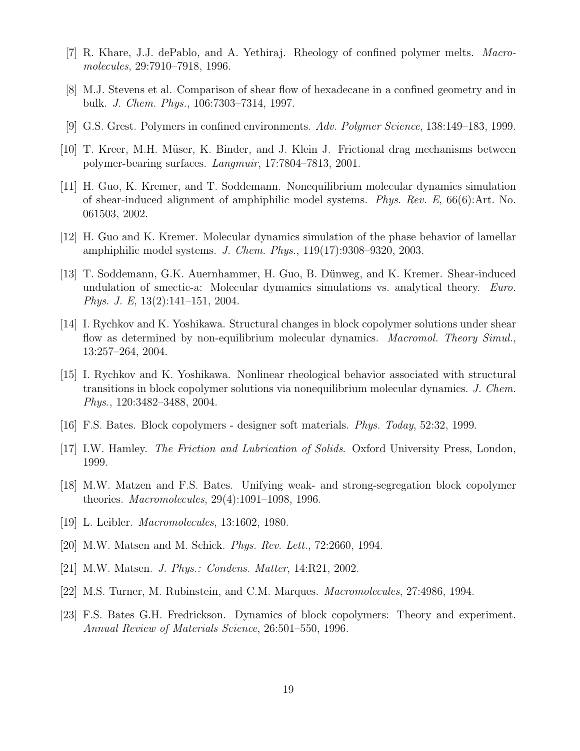- [7] R. Khare, J.J. dePablo, and A. Yethiraj. Rheology of confined polymer melts. Macromolecules, 29:7910–7918, 1996.
- [8] M.J. Stevens et al. Comparison of shear flow of hexadecane in a confined geometry and in bulk. J. Chem. Phys., 106:7303–7314, 1997.
- [9] G.S. Grest. Polymers in confined environments. Adv. Polymer Science, 138:149–183, 1999.
- [10] T. Kreer, M.H. Müser, K. Binder, and J. Klein J. Frictional drag mechanisms between polymer-bearing surfaces. Langmuir, 17:7804–7813, 2001.
- [11] H. Guo, K. Kremer, and T. Soddemann. Nonequilibrium molecular dynamics simulation of shear-induced alignment of amphiphilic model systems. Phys. Rev. E, 66(6):Art. No. 061503, 2002.
- [12] H. Guo and K. Kremer. Molecular dynamics simulation of the phase behavior of lamellar amphiphilic model systems. J. Chem. Phys., 119(17):9308–9320, 2003.
- [13] T. Soddemann, G.K. Auernhammer, H. Guo, B. Dünweg, and K. Kremer. Shear-induced undulation of smectic-a: Molecular dymamics simulations vs. analytical theory. Euro. Phys. J. E, 13(2):141–151, 2004.
- [14] I. Rychkov and K. Yoshikawa. Structural changes in block copolymer solutions under shear flow as determined by non-equilibrium molecular dynamics. *Macromol. Theory Simul.*, 13:257–264, 2004.
- [15] I. Rychkov and K. Yoshikawa. Nonlinear rheological behavior associated with structural transitions in block copolymer solutions via nonequilibrium molecular dynamics. J. Chem. Phys., 120:3482–3488, 2004.
- [16] F.S. Bates. Block copolymers designer soft materials. Phys. Today, 52:32, 1999.
- [17] I.W. Hamley. The Friction and Lubrication of Solids. Oxford University Press, London, 1999.
- [18] M.W. Matzen and F.S. Bates. Unifying weak- and strong-segregation block copolymer theories. Macromolecules, 29(4):1091–1098, 1996.
- [19] L. Leibler. Macromolecules, 13:1602, 1980.
- [20] M.W. Matsen and M. Schick. Phys. Rev. Lett., 72:2660, 1994.
- [21] M.W. Matsen. J. Phys.: Condens. Matter, 14:R21, 2002.
- [22] M.S. Turner, M. Rubinstein, and C.M. Marques. Macromolecules, 27:4986, 1994.
- [23] F.S. Bates G.H. Fredrickson. Dynamics of block copolymers: Theory and experiment. Annual Review of Materials Science, 26:501–550, 1996.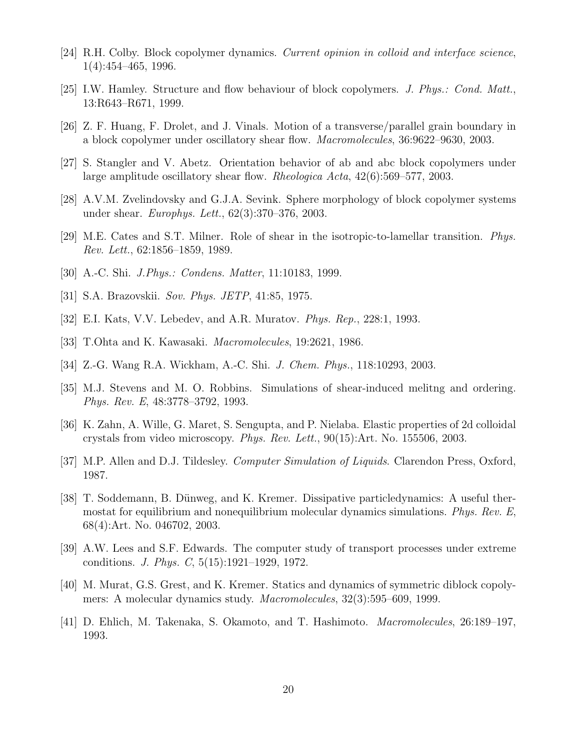- [24] R.H. Colby. Block copolymer dynamics. Current opinion in colloid and interface science, 1(4):454–465, 1996.
- [25] I.W. Hamley. Structure and flow behaviour of block copolymers. J. Phys.: Cond. Matt., 13:R643–R671, 1999.
- [26] Z. F. Huang, F. Drolet, and J. Vinals. Motion of a transverse/parallel grain boundary in a block copolymer under oscillatory shear flow. Macromolecules, 36:9622–9630, 2003.
- [27] S. Stangler and V. Abetz. Orientation behavior of ab and abc block copolymers under large amplitude oscillatory shear flow. Rheologica Acta, 42(6):569–577, 2003.
- [28] A.V.M. Zvelindovsky and G.J.A. Sevink. Sphere morphology of block copolymer systems under shear. Europhys. Lett., 62(3):370–376, 2003.
- [29] M.E. Cates and S.T. Milner. Role of shear in the isotropic-to-lamellar transition. Phys. Rev. Lett., 62:1856–1859, 1989.
- [30] A.-C. Shi. J.Phys.: Condens. Matter, 11:10183, 1999.
- [31] S.A. Brazovskii. Sov. Phys. JETP, 41:85, 1975.
- [32] E.I. Kats, V.V. Lebedev, and A.R. Muratov. Phys. Rep., 228:1, 1993.
- [33] T.Ohta and K. Kawasaki. Macromolecules, 19:2621, 1986.
- [34] Z.-G. Wang R.A. Wickham, A.-C. Shi. J. Chem. Phys., 118:10293, 2003.
- [35] M.J. Stevens and M. O. Robbins. Simulations of shear-induced melitng and ordering. Phys. Rev. E, 48:3778–3792, 1993.
- [36] K. Zahn, A. Wille, G. Maret, S. Sengupta, and P. Nielaba. Elastic properties of 2d colloidal crystals from video microscopy. Phys. Rev. Lett., 90(15):Art. No. 155506, 2003.
- [37] M.P. Allen and D.J. Tildesley. *Computer Simulation of Liquids*. Clarendon Press, Oxford, 1987.
- [38] T. Soddemann, B. Dünweg, and K. Kremer. Dissipative particledynamics: A useful thermostat for equilibrium and nonequilibrium molecular dynamics simulations. Phys. Rev.  $E$ , 68(4):Art. No. 046702, 2003.
- [39] A.W. Lees and S.F. Edwards. The computer study of transport processes under extreme conditions. J. Phys. C, 5(15):1921–1929, 1972.
- [40] M. Murat, G.S. Grest, and K. Kremer. Statics and dynamics of symmetric diblock copolymers: A molecular dynamics study. Macromolecules, 32(3):595–609, 1999.
- [41] D. Ehlich, M. Takenaka, S. Okamoto, and T. Hashimoto. Macromolecules, 26:189–197, 1993.